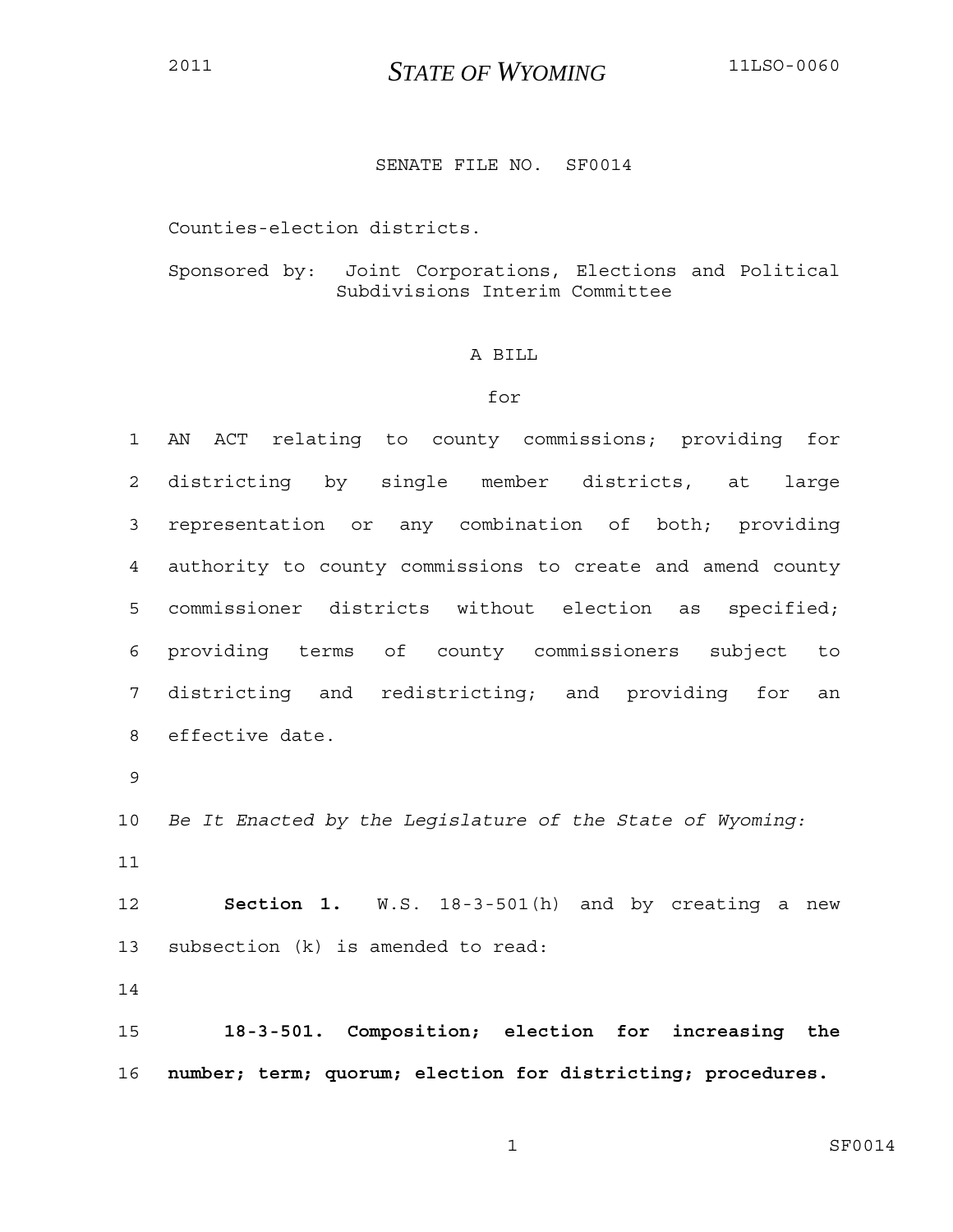# <sup>2011</sup>*STATE OF WYOMING* 11LSO-0060

## SENATE FILE NO. SF0014

Counties-election districts.

# Sponsored by: Joint Corporations, Elections and Political Subdivisions Interim Committee

### A BILL

#### for

1 AN ACT relating to county commissions; providing for 2 districting by single member districts, at large 3 representation or any combination of both; providing 4 authority to county commissions to create and amend county 5 commissioner districts without election as specified; 6 providing terms of county commissioners subject to 7 districting and redistricting; and providing for an 8 effective date. 9 10 *Be It Enacted by the Legislature of the State of Wyoming:*

11

12 **Section 1.** W.S. 18-3-501(h) and by creating a new 13 subsection (k) is amended to read:

14

15 **18-3-501. Composition; election for increasing the**  16 **number; term; quorum; election for districting; procedures.**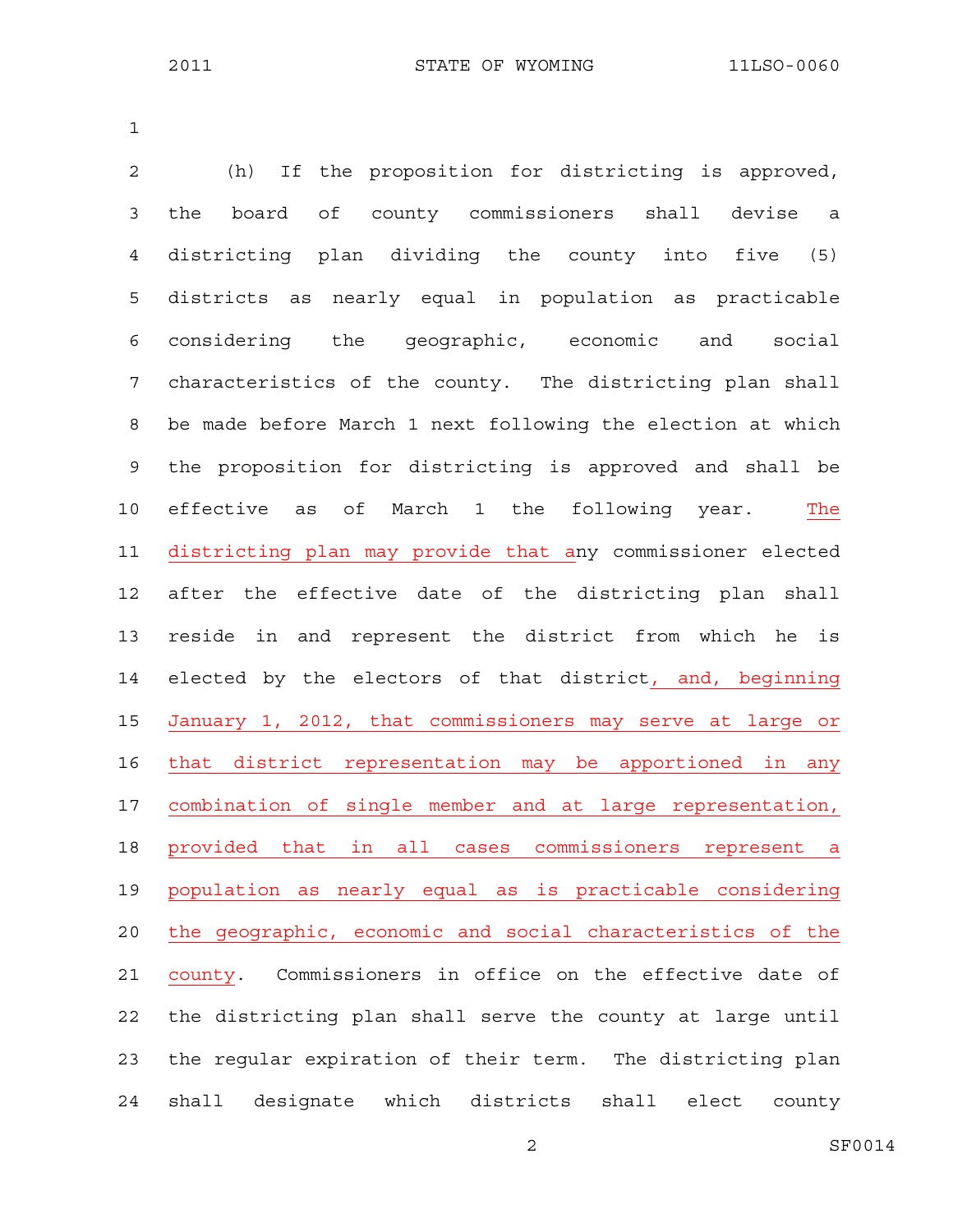1

2 (h) If the proposition for districting is approved, 3 the board of county commissioners shall devise a 4 districting plan dividing the county into five (5) 5 districts as nearly equal in population as practicable 6 considering the geographic, economic and social 7 characteristics of the county. The districting plan shall 8 be made before March 1 next following the election at which 9 the proposition for districting is approved and shall be 10 effective as of March 1 the following year. The 11 districting plan may provide that any commissioner elected 12 after the effective date of the districting plan shall 13 reside in and represent the district from which he is 14 elected by the electors of that district, and, beginning 15 January 1, 2012, that commissioners may serve at large or 16 that district representation may be apportioned in any 17 combination of single member and at large representation, 18 provided that in all cases commissioners represent a 19 population as nearly equal as is practicable considering 20 the geographic, economic and social characteristics of the 21 county. Commissioners in office on the effective date of 22 the districting plan shall serve the county at large until 23 the regular expiration of their term. The districting plan 24 shall designate which districts shall elect county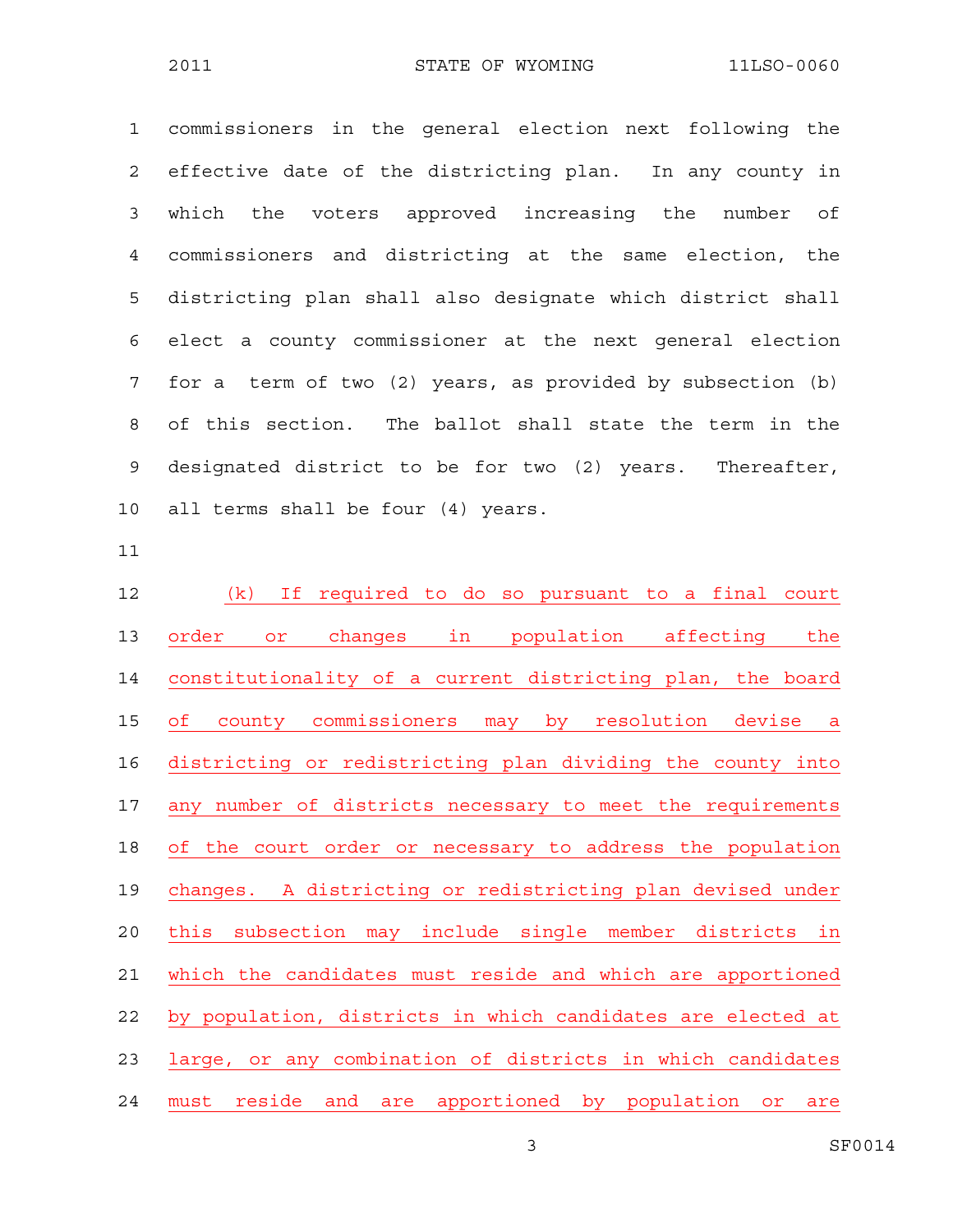1 commissioners in the general election next following the 2 effective date of the districting plan. In any county in 3 which the voters approved increasing the number of 4 commissioners and districting at the same election, the 5 districting plan shall also designate which district shall 6 elect a county commissioner at the next general election 7 for a term of two (2) years, as provided by subsection (b) 8 of this section. The ballot shall state the term in the 9 designated district to be for two (2) years. Thereafter, 10 all terms shall be four (4) years.

11

12 (k) If required to do so pursuant to a final court 13 order or changes in population affecting the 14 constitutionality of a current districting plan, the board 15 of county commissioners may by resolution devise a 16 districting or redistricting plan dividing the county into 17 any number of districts necessary to meet the requirements 18 of the court order or necessary to address the population 19 changes. A districting or redistricting plan devised under 20 this subsection may include single member districts in 21 which the candidates must reside and which are apportioned 22 by population, districts in which candidates are elected at 23 large, or any combination of districts in which candidates 24 must reside and are apportioned by population or are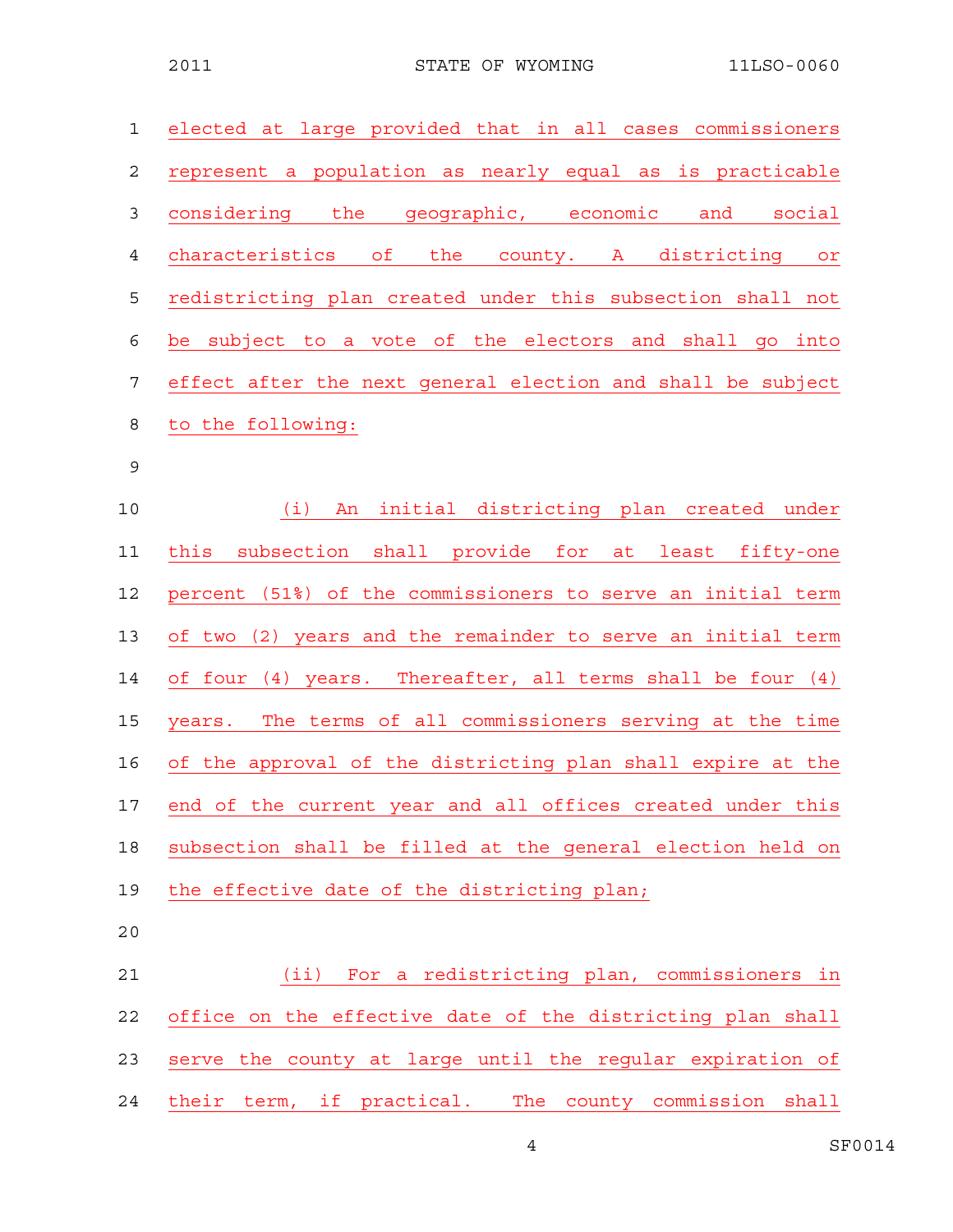| $\mathbf 1$    | elected at large provided that in all cases commissioners   |
|----------------|-------------------------------------------------------------|
| 2              | represent a population as nearly equal as is practicable    |
| $\mathfrak{Z}$ | considering the geographic, economic and<br>social          |
| $\overline{4}$ | characteristics of the county. A districting<br>or          |
| 5              | redistricting plan created under this subsection shall not  |
| 6              | be subject to a vote of the electors and shall go into      |
| $\overline{7}$ | effect after the next general election and shall be subject |
| 8              | to the following:                                           |
| $\mathsf 9$    |                                                             |
| 10             | An initial districting plan created under<br>(i)            |
| 11             | subsection shall provide for<br>this<br>at least fifty-one  |
| 12             | percent (51%) of the commissioners to serve an initial term |
| 13             | of two (2) years and the remainder to serve an initial term |
| 14             | of four (4) years. Thereafter, all terms shall be four (4)  |
| 15             | years. The terms of all commissioners serving at the time   |
| 16             | of the approval of the districting plan shall expire at the |
| 17             | end of the current year and all offices created under this  |
| 18             | subsection shall be filled at the general election held on  |
| 19             | the effective date of the districting plan;                 |
| 20             |                                                             |
| 21             | (ii) For a redistricting plan, commissioners in             |
| 22             | office on the effective date of the districting plan shall  |
| 23             | serve the county at large until the regular expiration of   |

24 their term, if practical. The county commission shall